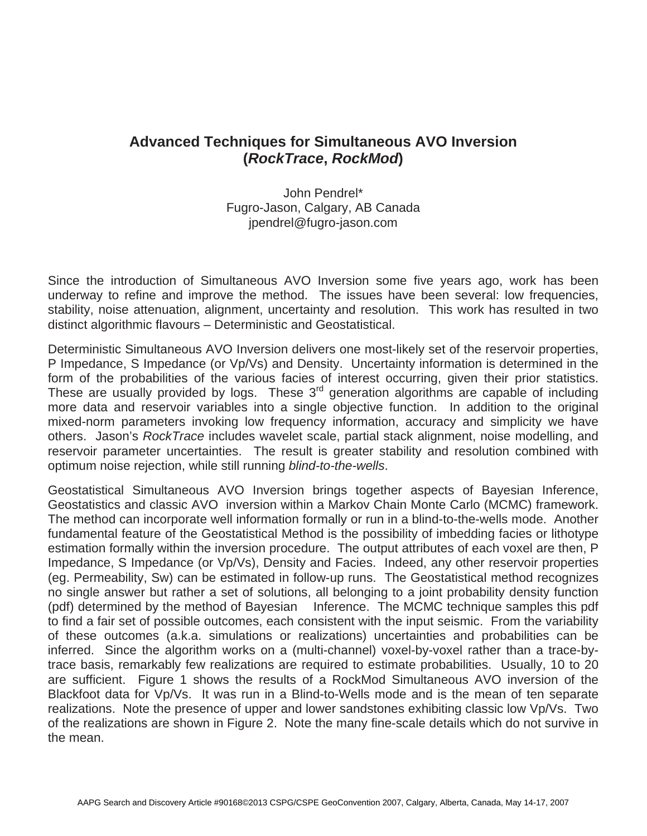## **Advanced Techniques for Simultaneous AVO Inversion (***RockTrace***,** *RockMod***)**

John Pendrel\* Fugro-Jason, Calgary, AB Canada jpendrel@fugro-jason.com

Since the introduction of Simultaneous AVO Inversion some five years ago, work has been underway to refine and improve the method. The issues have been several: low frequencies, stability, noise attenuation, alignment, uncertainty and resolution. This work has resulted in two distinct algorithmic flavours – Deterministic and Geostatistical.

Deterministic Simultaneous AVO Inversion delivers one most-likely set of the reservoir properties, P Impedance, S Impedance (or Vp/Vs) and Density. Uncertainty information is determined in the form of the probabilities of the various facies of interest occurring, given their prior statistics. These are usually provided by logs. These  $3<sup>rd</sup>$  generation algorithms are capable of including more data and reservoir variables into a single objective function. In addition to the original mixed-norm parameters invoking low frequency information, accuracy and simplicity we have others. Jason's *RockTrace* includes wavelet scale, partial stack alignment, noise modelling, and reservoir parameter uncertainties. The result is greater stability and resolution combined with optimum noise rejection, while still running *blind-to-the-wells*.

Geostatistical Simultaneous AVO Inversion brings together aspects of Bayesian Inference, Geostatistics and classic AVO inversion within a Markov Chain Monte Carlo (MCMC) framework. The method can incorporate well information formally or run in a blind-to-the-wells mode. Another fundamental feature of the Geostatistical Method is the possibility of imbedding facies or lithotype estimation formally within the inversion procedure. The output attributes of each voxel are then, P Impedance, S Impedance (or Vp/Vs), Density and Facies. Indeed, any other reservoir properties (eg. Permeability, Sw) can be estimated in follow-up runs. The Geostatistical method recognizes no single answer but rather a set of solutions, all belonging to a joint probability density function (pdf) determined by the method of Bayesian Inference. The MCMC technique samples this pdf to find a fair set of possible outcomes, each consistent with the input seismic. From the variability of these outcomes (a.k.a. simulations or realizations) uncertainties and probabilities can be inferred. Since the algorithm works on a (multi-channel) voxel-by-voxel rather than a trace-bytrace basis, remarkably few realizations are required to estimate probabilities. Usually, 10 to 20 are sufficient. Figure 1 shows the results of a RockMod Simultaneous AVO inversion of the Blackfoot data for Vp/Vs. It was run in a Blind-to-Wells mode and is the mean of ten separate realizations. Note the presence of upper and lower sandstones exhibiting classic low Vp/Vs. Two of the realizations are shown in Figure 2. Note the many fine-scale details which do not survive in the mean.